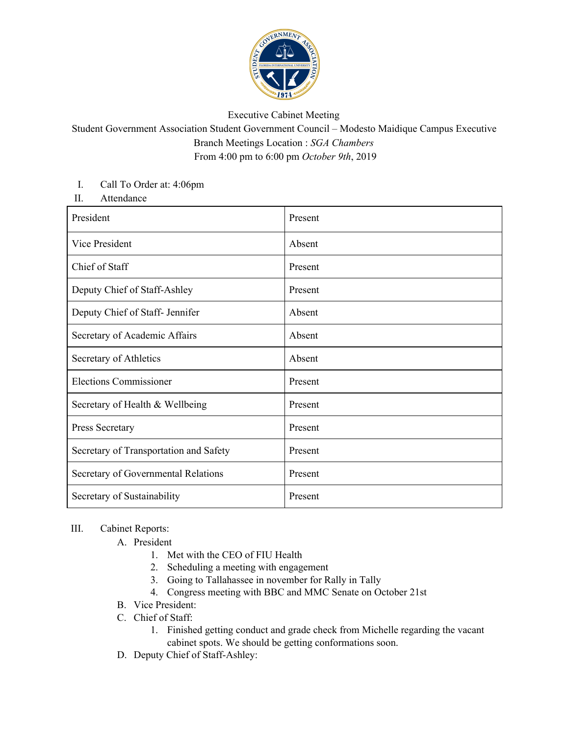

## Executive Cabinet Meeting

## Student Government Association Student Government Council – Modesto Maidique Campus Executive Branch Meetings Location : *SGA Chambers* From 4:00 pm to 6:00 pm *October 9th*, 2019

## I. Call To Order at: 4:06pm

II. Attendance

| President                              | Present |
|----------------------------------------|---------|
| Vice President                         | Absent  |
| Chief of Staff                         | Present |
| Deputy Chief of Staff-Ashley           | Present |
| Deputy Chief of Staff- Jennifer        | Absent  |
| Secretary of Academic Affairs          | Absent  |
| Secretary of Athletics                 | Absent  |
| <b>Elections Commissioner</b>          | Present |
| Secretary of Health & Wellbeing        | Present |
| Press Secretary                        | Present |
| Secretary of Transportation and Safety | Present |
| Secretary of Governmental Relations    | Present |
| Secretary of Sustainability            | Present |

## III. Cabinet Reports:

- A. President
	- 1. Met with the CEO of FIU Health
	- 2. Scheduling a meeting with engagement
	- 3. Going to Tallahassee in november for Rally in Tally
	- 4. Congress meeting with BBC and MMC Senate on October 21st
- B. Vice President:
- C. Chief of Staff:
	- 1. Finished getting conduct and grade check from Michelle regarding the vacant cabinet spots. We should be getting conformations soon.
- D. Deputy Chief of Staff-Ashley: